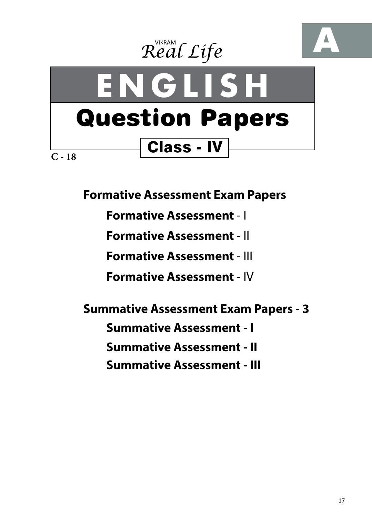





**Formative Assessment Exam Papers** 

**Formative Assessment** - I

**Formative Assessment** - II

**Formative Assessment** - III

**Formative Assessment** - IV

**Summative Assessment Exam Papers - 3**

**Summative Assessment - I**

**Summative Assessment - II**

**Summative Assessment - III**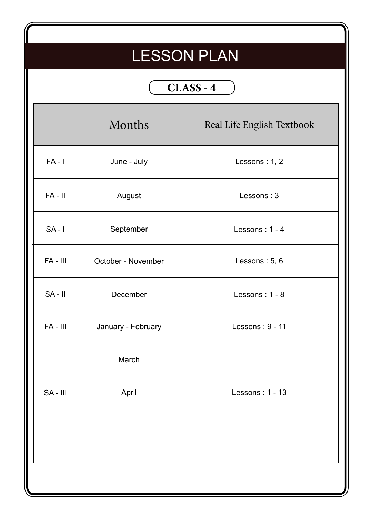## LESSON PLAN

## **CLASS - 4**

|            | Months             | Real Life English Textbook |
|------------|--------------------|----------------------------|
| $FA - I$   | June - July        | Lessons: 1, 2              |
| $FA - II$  | August             | Lessons: 3                 |
| $SA - I$   | September          | Lessons: 1 - 4             |
| $FA - III$ | October - November | Lessons: 5, 6              |
| $SA - II$  | December           | Lessons: 1 - 8             |
| $FA - III$ | January - February | Lessons: 9 - 11            |
|            | March              |                            |
| $SA - III$ | April              | Lessons: $1 - 13$          |
|            |                    |                            |
|            |                    |                            |
|            |                    |                            |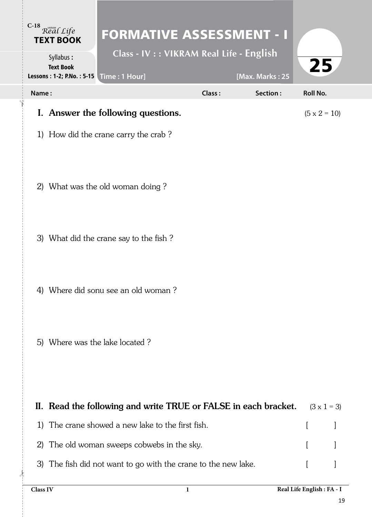|       | C-18 Real Life<br><b>TEXT BOOK</b>                                            | <b>FORMATIVE ASSESSMENT - I</b>                                 |        |                 |                     |                    |
|-------|-------------------------------------------------------------------------------|-----------------------------------------------------------------|--------|-----------------|---------------------|--------------------|
|       | Syllabus:<br><b>Text Book</b><br>Lessons : 1-2; P.No. : 5-15   Time : 1 Hour] | Class - IV : : VIKRAM Real Life - English                       |        | [Max. Marks: 25 | 25                  |                    |
| Name: |                                                                               |                                                                 | Class: | Section:        | <b>Roll No.</b>     |                    |
|       |                                                                               | I. Answer the following questions.                              |        |                 | $(5 \times 2 = 10)$ |                    |
|       |                                                                               | 1) How did the crane carry the crab?                            |        |                 |                     |                    |
|       |                                                                               |                                                                 |        |                 |                     |                    |
|       |                                                                               | 2) What was the old woman doing?                                |        |                 |                     |                    |
|       |                                                                               |                                                                 |        |                 |                     |                    |
|       |                                                                               |                                                                 |        |                 |                     |                    |
|       |                                                                               | 3) What did the crane say to the fish?                          |        |                 |                     |                    |
|       |                                                                               |                                                                 |        |                 |                     |                    |
|       |                                                                               | 4) Where did sonu see an old woman?                             |        |                 |                     |                    |
|       |                                                                               |                                                                 |        |                 |                     |                    |
|       |                                                                               | 5) Where was the lake located?                                  |        |                 |                     |                    |
|       |                                                                               |                                                                 |        |                 |                     |                    |
|       |                                                                               |                                                                 |        |                 |                     |                    |
|       |                                                                               | II. Read the following and write TRUE or FALSE in each bracket. |        |                 |                     | $(3 \times 1 = 3)$ |
| 1)    |                                                                               | The crane showed a new lake to the first fish.                  |        |                 | $\left[ \right]$    | J                  |
| 2)    |                                                                               | The old woman sweeps cobwebs in the sky.                        |        |                 |                     |                    |

3) The fish did not want to go with the crane to the new lake. [ ]

 $\lambda$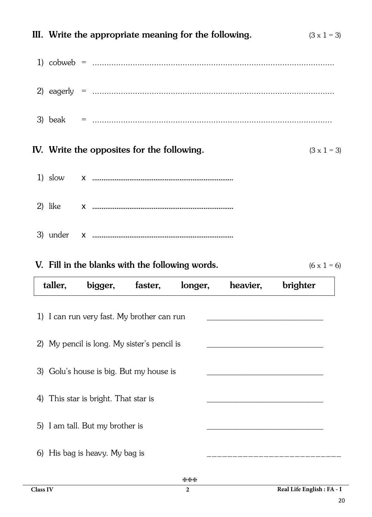|  | III. Write the appropriate meaning for the following. | $(3 \times 1 = 3)$ |
|--|-------------------------------------------------------|--------------------|
|  |                                                       |                    |
|  |                                                       |                    |
|  |                                                       |                    |
|  | IV. Write the opposites for the following.            | $(3 \times 1 = 3)$ |
|  |                                                       |                    |
|  |                                                       |                    |
|  |                                                       |                    |

|  | V. Fill in the blanks with the following words. |  |
|--|-------------------------------------------------|--|
|  |                                                 |  |

 $(6 \times 1 = 6)$ 

|                                             | taller,                                    | bigger,                              | faster, | longer, | heavier, | brighter |  |  |  |  |
|---------------------------------------------|--------------------------------------------|--------------------------------------|---------|---------|----------|----------|--|--|--|--|
|                                             | 1) I can run very fast. My brother can run |                                      |         |         |          |          |  |  |  |  |
| 2) My pencil is long. My sister's pencil is |                                            |                                      |         |         |          |          |  |  |  |  |
| 3) Golu's house is big. But my house is     |                                            |                                      |         |         |          |          |  |  |  |  |
|                                             |                                            | 4) This star is bright. That star is |         |         |          |          |  |  |  |  |
|                                             |                                            | 5) I am tall. But my brother is      |         |         |          |          |  |  |  |  |
|                                             |                                            | 6) His bag is heavy. My bag is       |         |         |          |          |  |  |  |  |
|                                             |                                            |                                      |         |         |          |          |  |  |  |  |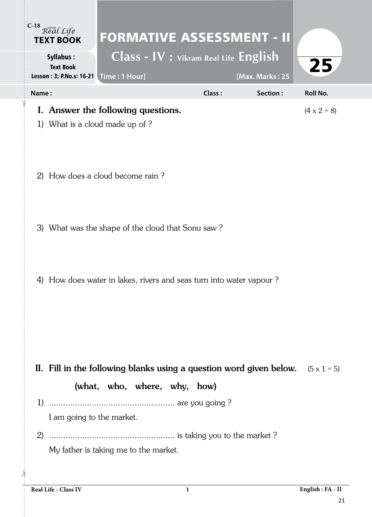|       | C-18 Real Life<br><b>TEXT BOOK</b>   | <b>FORMATIVE ASSESSMENT - II</b>                                                                                       |        |                 |                    |
|-------|--------------------------------------|------------------------------------------------------------------------------------------------------------------------|--------|-----------------|--------------------|
|       | <b>Syllabus:</b><br><b>Text Book</b> | Class - IV : Vikram Real Life English<br>Lesson : 3; P.No.s: 16-21   Time : 1 Hour]                                    |        | [Max. Marks: 25 | 25                 |
| Name: |                                      |                                                                                                                        | Class: | Section:        | <b>Roll No.</b>    |
|       |                                      | I. Answer the following questions.<br>1) What is a cloud made up of ?                                                  |        |                 | $(4 \times 2 = 8)$ |
|       |                                      | 2) How does a cloud become rain?                                                                                       |        |                 |                    |
|       |                                      | 3) What was the shape of the cloud that Sonu saw?                                                                      |        |                 |                    |
|       |                                      | 4) How does water in lakes, rivers and seas turn into water vapour?                                                    |        |                 |                    |
|       |                                      | II. Fill in the following blanks using a question word given below. $(5 \times 1 = 5)$<br>(what, who, where, why, how) |        |                 |                    |
|       | I am going to the market.            |                                                                                                                        |        |                 |                    |
|       |                                      | My father is taking me to the market.                                                                                  |        |                 |                    |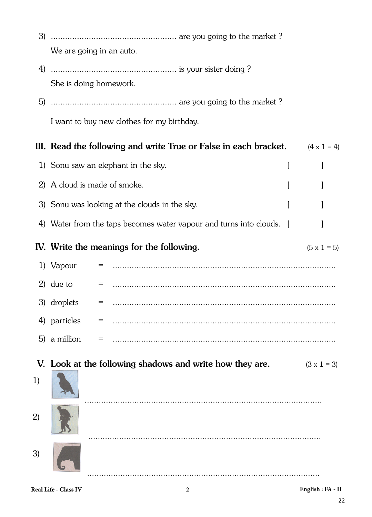| 3) |                                                                      |                    |
|----|----------------------------------------------------------------------|--------------------|
|    | We are going in an auto.                                             |                    |
|    |                                                                      |                    |
|    | She is doing homework.                                               |                    |
|    |                                                                      |                    |
|    | I want to buy new clothes for my birthday.                           |                    |
|    | III. Read the following and write True or False in each bracket.     | $(4 \times 1 = 4)$ |
|    | 1) Sonu saw an elephant in the sky.                                  |                    |
|    | 2) A cloud is made of smoke.                                         |                    |
|    | 3) Sonu was looking at the clouds in the sky.                        |                    |
|    | 4) Water from the taps becomes water vapour and turns into clouds. [ |                    |
|    | IV. Write the meanings for the following.                            | $(5 \times 1 = 5)$ |
|    | 1) Vapour                                                            |                    |
|    | 2) due to<br>= ………………………………………………………………………………………                     |                    |
|    | 3) droplets<br>$=$                                                   |                    |
|    | 4) particles                                                         |                    |
|    | 5) a million                                                         |                    |
|    | V. Look at the following shadows and write how they are.             | $(3 \times 1 = 3)$ |
| 1) |                                                                      |                    |
| 2) |                                                                      |                    |
| 3) |                                                                      |                    |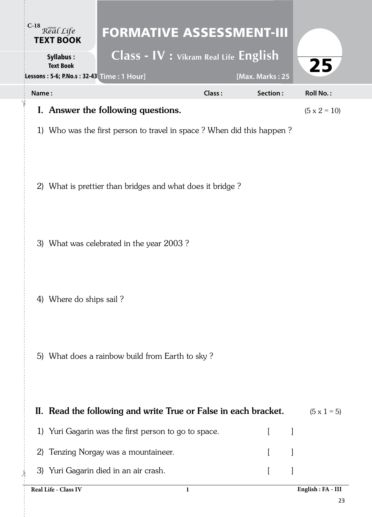| C-18 Real Life<br><b>TEXT BOOK</b><br><b>Syllabus:</b>        | <b>FORMATIVE ASSESSMENT-III</b><br>Class - IV : Vikram Real Life English |        |                 |                     |
|---------------------------------------------------------------|--------------------------------------------------------------------------|--------|-----------------|---------------------|
| <b>Text Book</b><br>Lessons: 5-6; P.No.s: 32-43 Time: 1 Hour] |                                                                          |        | [Max. Marks: 25 | 25                  |
| Name:                                                         |                                                                          | Class: | Section:        | <b>Roll No.:</b>    |
|                                                               | I. Answer the following questions.                                       |        |                 | $(5 \times 2 = 10)$ |
|                                                               | 1) Who was the first person to travel in space? When did this happen?    |        |                 |                     |
|                                                               | 2) What is prettier than bridges and what does it bridge?                |        |                 |                     |
|                                                               | 3) What was celebrated in the year 2003?                                 |        |                 |                     |
| 4) Where do ships sail?                                       |                                                                          |        |                 |                     |
|                                                               | 5) What does a rainbow build from Earth to sky?                          |        |                 |                     |
|                                                               | II. Read the following and write True or False in each bracket.          |        |                 | $(5 \times 1 = 5)$  |
|                                                               | 1) Yuri Gagarin was the first person to go to space.                     |        | $\mathsf{L}$    | ]                   |
| 2)                                                            | Tenzing Norgay was a mountaineer.                                        |        |                 |                     |
|                                                               | 3) Yuri Gagarin died in an air crash.                                    |        |                 |                     |
| Real Life - Class IV                                          |                                                                          | 1      |                 | English: FA - III   |

23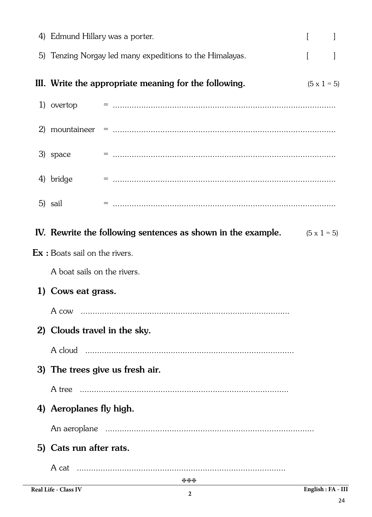| 4) Edmund Hillary was a porter.                             |                                                                                 |                    |  |
|-------------------------------------------------------------|---------------------------------------------------------------------------------|--------------------|--|
|                                                             | 5) Tenzing Norgay led many expeditions to the Himalayas.                        |                    |  |
|                                                             | III. Write the appropriate meaning for the following.                           | $(5 \times 1 = 5)$ |  |
|                                                             |                                                                                 |                    |  |
|                                                             |                                                                                 |                    |  |
| 3) space                                                    |                                                                                 |                    |  |
| 4) bridge                                                   |                                                                                 |                    |  |
| 5) sail                                                     |                                                                                 |                    |  |
|                                                             | IV. Rewrite the following sentences as shown in the example. $(5 \times 1 = 5)$ |                    |  |
| $\mathop{\textrm{Ex}}\nolimits$ : Boats sail on the rivers. |                                                                                 |                    |  |
| A boat sails on the rivers.                                 |                                                                                 |                    |  |
| 1) Cows eat grass.                                          |                                                                                 |                    |  |
|                                                             |                                                                                 |                    |  |
| 2) Clouds travel in the sky.                                |                                                                                 |                    |  |
|                                                             |                                                                                 |                    |  |
|                                                             | 3) The trees give us fresh air.                                                 |                    |  |
|                                                             | A tree                                                                          |                    |  |
| 4) Aeroplanes fly high.                                     |                                                                                 |                    |  |
|                                                             |                                                                                 |                    |  |
| 5) Cats run after rats.                                     |                                                                                 |                    |  |
|                                                             |                                                                                 |                    |  |
|                                                             | ***                                                                             |                    |  |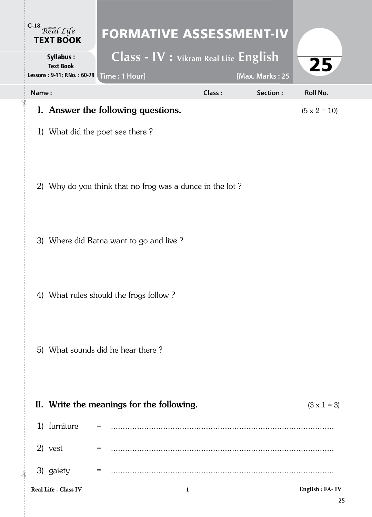| $C-18$ | Real Life<br><b>TEXT BOOK</b>                                | <b>FORMATIVE ASSESSMENT-IV</b>                           |                                       |        |                 |                     |
|--------|--------------------------------------------------------------|----------------------------------------------------------|---------------------------------------|--------|-----------------|---------------------|
|        | Syllabus:<br><b>Text Book</b><br>Lessons: 9-11; P.No.: 60-79 | Time: 1 Hour]                                            | Class - IV : Vikram Real Life English |        | [Max. Marks: 25 | 25                  |
| Name:  |                                                              |                                                          |                                       | Class: | Section:        | Roll No.            |
|        |                                                              | I. Answer the following questions.                       |                                       |        |                 | $(5 \times 2 = 10)$ |
|        |                                                              | 1) What did the poet see there?                          |                                       |        |                 |                     |
|        |                                                              | 2) Why do you think that no frog was a dunce in the lot? |                                       |        |                 |                     |
|        |                                                              | 3) Where did Ratna want to go and live?                  |                                       |        |                 |                     |
|        |                                                              | 4) What rules should the frogs follow?                   |                                       |        |                 |                     |
|        |                                                              | 5) What sounds did he hear there?                        |                                       |        |                 |                     |
|        |                                                              | II. Write the meanings for the following.                |                                       |        |                 | $(3 \times 1 = 3)$  |
|        | 1) furniture                                                 |                                                          |                                       |        |                 |                     |
|        | 2) vest                                                      |                                                          |                                       |        |                 |                     |
|        | 3) gaiety                                                    | =                                                        |                                       |        |                 |                     |
|        | Real Life - Class IV                                         |                                                          | 1                                     |        |                 | English : FA-IV     |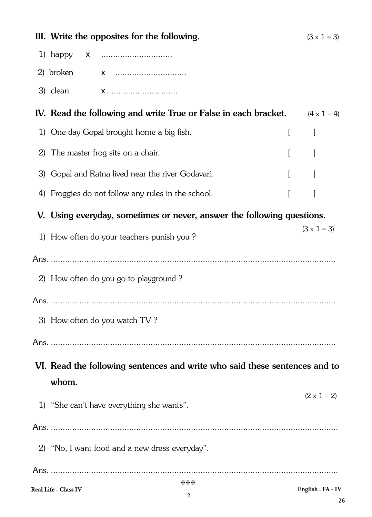|    | III. Write the opposites for the following.<br>$(3 \times 1 = 3)$                                                                                    |                    |  |  |  |  |
|----|------------------------------------------------------------------------------------------------------------------------------------------------------|--------------------|--|--|--|--|
|    | 1) happy<br><b>X</b>                                                                                                                                 |                    |  |  |  |  |
|    | 2) broken                                                                                                                                            |                    |  |  |  |  |
|    |                                                                                                                                                      |                    |  |  |  |  |
|    | IV. Read the following and write True or False in each bracket.                                                                                      | $(4 \times 1 = 4)$ |  |  |  |  |
|    | 1) One day Gopal brought home a big fish.                                                                                                            | $\left[ \right]$   |  |  |  |  |
| 2) | The master frog sits on a chair.                                                                                                                     |                    |  |  |  |  |
| 3) | Gopal and Ratna lived near the river Godavari.                                                                                                       |                    |  |  |  |  |
| 4) | Froggies do not follow any rules in the school.                                                                                                      | $\left[ \right]$   |  |  |  |  |
|    | V. Using everyday, sometimes or never, answer the following questions.                                                                               |                    |  |  |  |  |
|    | 1) How often do your teachers punish you?                                                                                                            | $(3 \times 1 = 3)$ |  |  |  |  |
|    |                                                                                                                                                      |                    |  |  |  |  |
|    | 2) How often do you go to playground?                                                                                                                |                    |  |  |  |  |
|    |                                                                                                                                                      |                    |  |  |  |  |
|    | 3) How often do you watch TV?                                                                                                                        |                    |  |  |  |  |
|    |                                                                                                                                                      |                    |  |  |  |  |
|    | VI. Read the following sentences and write who said these sentences and to<br>whom.                                                                  |                    |  |  |  |  |
|    | 1) "She can't have everything she wants".                                                                                                            | $(2 \times 1 = 2)$ |  |  |  |  |
|    |                                                                                                                                                      |                    |  |  |  |  |
|    | 2) "No, I want food and a new dress everyday".                                                                                                       |                    |  |  |  |  |
|    |                                                                                                                                                      |                    |  |  |  |  |
|    | ***<br>$\begin{bmatrix} \text{Real} & \text{H} \\ \text{Real} & \text{R} \end{bmatrix}$<br>$\boxed{\mathbf{Endich} \cdot \mathbf{EA} - \mathbf{IV}}$ |                    |  |  |  |  |

**2**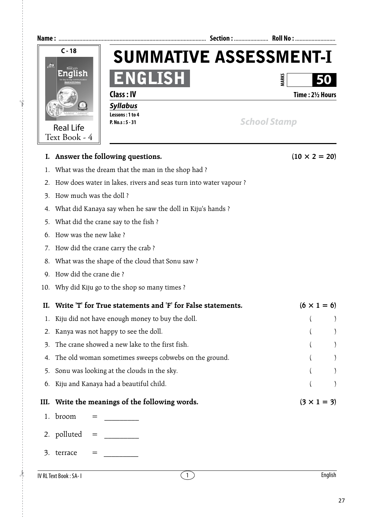

|      | I. Answer the following questions.                                | $(10 \times 2 = 20)$ |
|------|-------------------------------------------------------------------|----------------------|
| 1.   | What was the dream that the man in the shop had?                  |                      |
| 2.   | How does water in lakes, rivers and seas turn into water vapour ? |                      |
| 3.   | How much was the doll ?                                           |                      |
| 4.   | What did Kanaya say when he saw the doll in Kiju's hands ?        |                      |
| 5.   | What did the crane say to the fish ?                              |                      |
| 6.   | How was the new lake ?                                            |                      |
| 7.   | How did the crane carry the crab?                                 |                      |
| 8.   | What was the shape of the cloud that Sonu saw ?                   |                      |
| 9.   | How did the crane die ?                                           |                      |
| 10.  | Why did Kiju go to the shop so many times ?                       |                      |
| II.  | Write 'T' for True statements and 'F' for False statements.       | $(6 \times 1 = 6)$   |
| 1.   | Kiju did not have enough money to buy the doll.                   |                      |
| 2.   | Kanya was not happy to see the doll.                              |                      |
| 3.   | The crane showed a new lake to the first fish.                    |                      |
| 4.   | The old woman sometimes sweeps cobwebs on the ground.             |                      |
| 5.   | Sonu was looking at the clouds in the sky.                        |                      |
| 6.   | Kiju and Kanaya had a beautiful child.                            |                      |
| III. | Write the meanings of the following words.                        | $(3 \times 1 = 3)$   |
| 1.   | broom<br>$=$                                                      |                      |
|      | 2. polluted<br>$=$                                                |                      |

 $3.$  terrace  $=$ 

 $\lambda$ 

!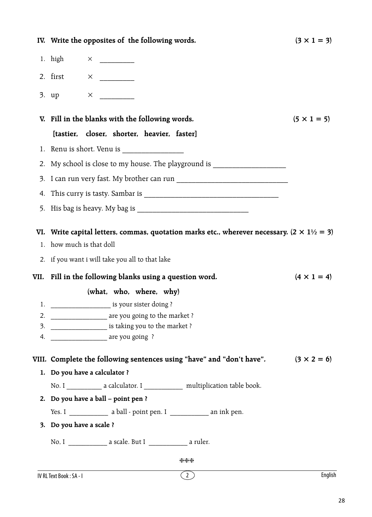|    | IV. Write the opposites of the following words.                                    |                                                                                                            | $(3 \times 1 = 3)$ |
|----|------------------------------------------------------------------------------------|------------------------------------------------------------------------------------------------------------|--------------------|
|    |                                                                                    |                                                                                                            |                    |
|    |                                                                                    |                                                                                                            |                    |
|    |                                                                                    |                                                                                                            |                    |
|    | V. Fill in the blanks with the following words.                                    |                                                                                                            | $(5 \times 1 = 5)$ |
|    | [tastier, closer, shorter, heavier, faster]                                        |                                                                                                            |                    |
|    |                                                                                    |                                                                                                            |                    |
|    | 2. My school is close to my house. The playground is ___________________________   |                                                                                                            |                    |
|    |                                                                                    |                                                                                                            |                    |
| 4. |                                                                                    |                                                                                                            |                    |
|    |                                                                                    |                                                                                                            |                    |
|    |                                                                                    |                                                                                                            |                    |
|    |                                                                                    | VI. Write capital letters, commas, quotation marks etc., wherever necessary. $(2 \times 1\frac{1}{2} = 3)$ |                    |
|    | 1. how much is that doll                                                           |                                                                                                            |                    |
|    | 2. if you want i will take you all to that lake                                    |                                                                                                            |                    |
|    | VII. Fill in the following blanks using a question word.                           |                                                                                                            | $(4 \times 1 = 4)$ |
|    | (what, who, where, why)                                                            |                                                                                                            |                    |
|    | 1. _________________________ is your sister doing ?                                |                                                                                                            |                    |
| 2. | ____________________ are you going to the market ?                                 |                                                                                                            |                    |
| 3. | ______________________ is taking you to the market ?                               |                                                                                                            |                    |
| 4. | are you going?                                                                     |                                                                                                            |                    |
|    | VIII. Complete the following sentences using "have" and "don't have".              |                                                                                                            | $(3 \times 2 = 6)$ |
|    | 1. Do you have a calculator ?                                                      |                                                                                                            |                    |
|    | No. I ______________ a calculator. I _______________ multiplication table book.    |                                                                                                            |                    |
|    | 2. Do you have a ball - point pen ?                                                |                                                                                                            |                    |
|    | Yes. I $\frac{1}{\sqrt{2}}$ a ball - point pen. I $\frac{1}{\sqrt{2}}$ an ink pen. |                                                                                                            |                    |
|    | 3. Do you have a scale ?                                                           |                                                                                                            |                    |
|    | No. I __________________ a scale. But I ________________ a ruler.                  |                                                                                                            |                    |
|    |                                                                                    | ⋇⋇⋇                                                                                                        |                    |
|    | IV RL Text Book: SA-I                                                              | (2)                                                                                                        | English            |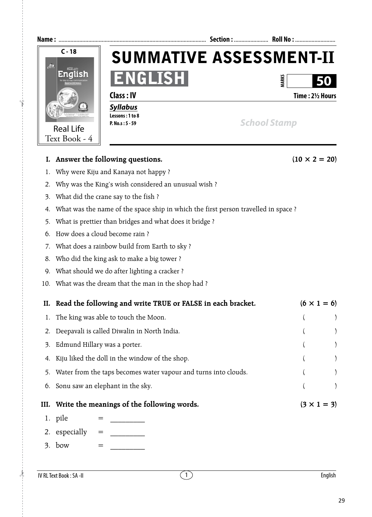

- 4. What was the name of the space ship in which the first person travelled in space ?
- 5. What is prettier than bridges and what does it bridge ?
- 6. How does a cloud become rain ?
- 7. What does a rainbow build from Earth to sky ?
- 8. Who did the king ask to make a big tower ?
- 9. What should we do after lighting a cracker ?
- 10. What was the dream that the man in the shop had ?

| II. Read the following and write TRUE or FALSE in each bracket.    |                    | $(6 \times 1 = 6)$ |  |
|--------------------------------------------------------------------|--------------------|--------------------|--|
| 1. The king was able to touch the Moon.                            |                    |                    |  |
| 2. Deepavali is called Diwalin in North India.                     |                    |                    |  |
| 3. Edmund Hillary was a porter.                                    |                    |                    |  |
| Kiju liked the doll in the window of the shop.                     |                    |                    |  |
| 5. Water from the taps becomes water vapour and turns into clouds. |                    |                    |  |
| 6. Sonu saw an elephant in the sky.                                |                    |                    |  |
| III. Write the meanings of the following words.                    | $(3 \times 1 = 3)$ |                    |  |

- 1. pile
- 2. especially  $=$
- $3.$  bow  $=$

 $\lambda$ 

 $\uparrow$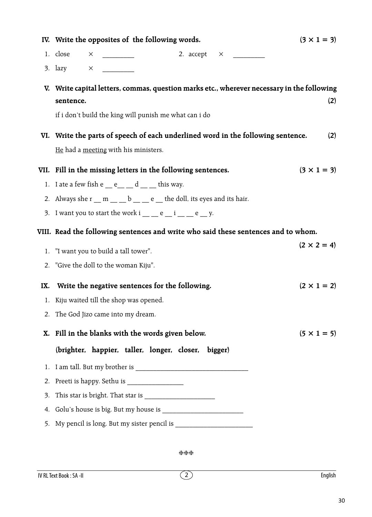|     | IV. Write the opposites of the following words.                                                                                                                   | $(3 \times 1 = 3)$ |  |
|-----|-------------------------------------------------------------------------------------------------------------------------------------------------------------------|--------------------|--|
|     | 1. $close \times$<br>2. $accept \times$                                                                                                                           |                    |  |
|     | 3. lazy $\times$                                                                                                                                                  |                    |  |
|     | V. Write capital letters, commas, question marks etc., wherever necessary in the following<br>sentence.<br>if i don't build the king will punish me what can i do | (2)                |  |
|     | VI. Write the parts of speech of each underlined word in the following sentence.                                                                                  | (2)                |  |
|     | He had a meeting with his ministers.                                                                                                                              |                    |  |
|     | VII. Fill in the missing letters in the following sentences.                                                                                                      | $(3 \times 1 = 3)$ |  |
|     | 1. I ate a few fish $e \_ e \_ d \_ d \_$ this way.                                                                                                               |                    |  |
|     | 2. Always she $r \_ m \_ b \_ c \_ e$ the doll, its eyes and its hair.                                                                                            |                    |  |
|     | 3. I want you to start the work i $\_\_$ e $\_\$ i $\_\_$ e $\_\,$ y.                                                                                             |                    |  |
|     | VIII. Read the following sentences and write who said these sentences and to whom.                                                                                |                    |  |
|     | 1. "I want you to build a tall tower".                                                                                                                            | $(2 \times 2 = 4)$ |  |
|     | 2. "Give the doll to the woman Kiju".                                                                                                                             |                    |  |
| IX. | Write the negative sentences for the following.                                                                                                                   | $(2 \times 1 = 2)$ |  |
|     | 1. Kiju waited till the shop was opened.                                                                                                                          |                    |  |
|     | 2. The God Jizo came into my dream.                                                                                                                               |                    |  |
|     | X. Fill in the blanks with the words given below.                                                                                                                 | $(5 \times 1 = 5)$ |  |
|     | (brighter, happier, taller, longer, closer, bigger)                                                                                                               |                    |  |
| 1.  |                                                                                                                                                                   |                    |  |
| 2.  |                                                                                                                                                                   |                    |  |
| 3.  |                                                                                                                                                                   |                    |  |
| 4.  |                                                                                                                                                                   |                    |  |
|     |                                                                                                                                                                   |                    |  |

hhh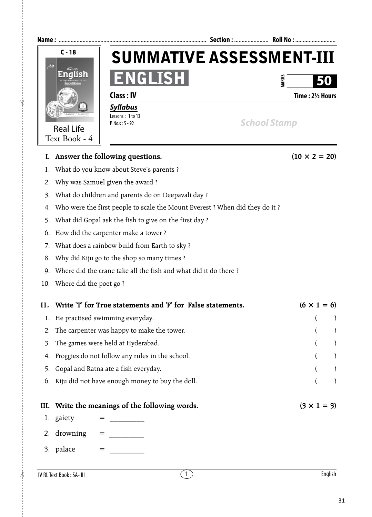

31